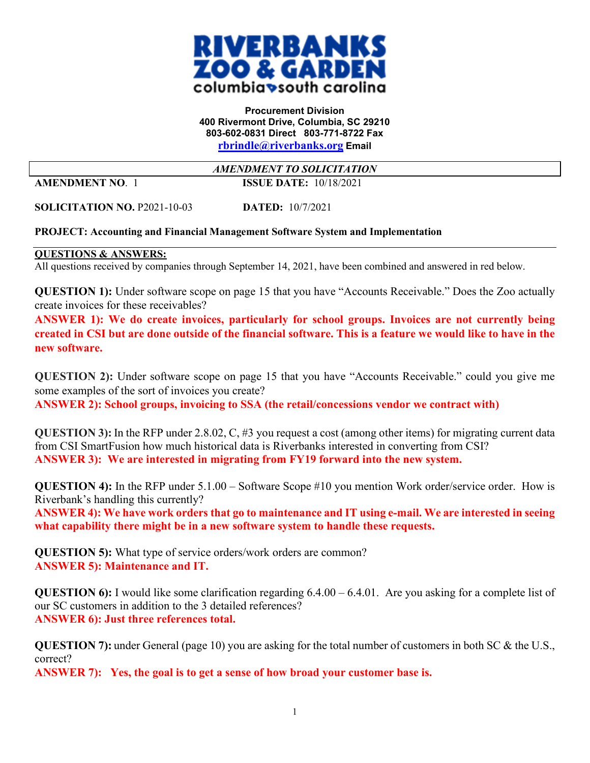

## **Procurement Division 400 Rivermont Drive, Columbia, SC 29210 803-602-0831 Direct 803-771-8722 Fax [rbrindle@riverbanks.org](mailto:rbrindle@riverbanks.org) Email**

*AMENDMENT TO SOLICITATION*

**AMENDMENT NO**. 1 **ISSUE DATE:** 10/18/2021

**SOLICITATION NO.** P2021-10-03 **DATED:** 10/7/2021

## **PROJECT: Accounting and Financial Management Software System and Implementation**

## **QUESTIONS & ANSWERS:**

All questions received by companies through September 14, 2021, have been combined and answered in red below.

**QUESTION 1):** Under software scope on page 15 that you have "Accounts Receivable." Does the Zoo actually create invoices for these receivables?

**ANSWER 1): We do create invoices, particularly for school groups. Invoices are not currently being created in CSI but are done outside of the financial software. This is a feature we would like to have in the new software.** 

**QUESTION 2):** Under software scope on page 15 that you have "Accounts Receivable." could you give me some examples of the sort of invoices you create?

**ANSWER 2): School groups, invoicing to SSA (the retail/concessions vendor we contract with)**

**QUESTION 3):** In the RFP under 2.8.02, C, #3 you request a cost (among other items) for migrating current data from CSI SmartFusion how much historical data is Riverbanks interested in converting from CSI? **ANSWER 3): We are interested in migrating from FY19 forward into the new system.** 

**QUESTION 4):** In the RFP under 5.1.00 – Software Scope #10 you mention Work order/service order. How is Riverbank's handling this currently?

**ANSWER 4): We have work orders that go to maintenance and IT using e-mail. We are interested in seeing what capability there might be in a new software system to handle these requests.** 

**QUESTION 5):** What type of service orders/work orders are common? **ANSWER 5): Maintenance and IT.**

**QUESTION 6):** I would like some clarification regarding 6.4.00 – 6.4.01. Are you asking for a complete list of our SC customers in addition to the 3 detailed references? **ANSWER 6): Just three references total.** 

**QUESTION 7):** under General (page 10) you are asking for the total number of customers in both SC & the U.S., correct?

**ANSWER 7): Yes, the goal is to get a sense of how broad your customer base is.**